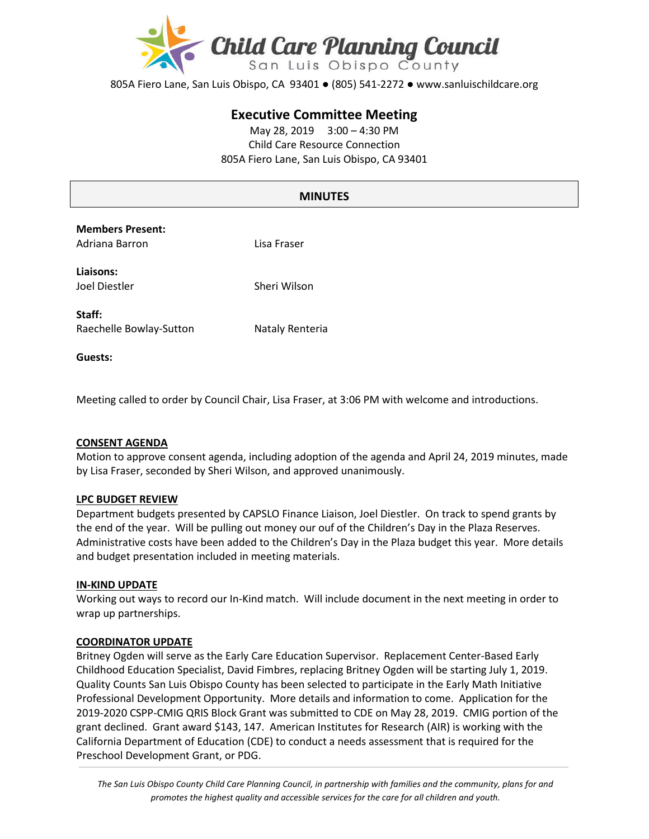

805A Fiero Lane, San Luis Obispo, CA 93401 ● (805) 541-2272 ● www.sanluischildcare.org

# **Executive Committee Meeting**

May 28, 2019 3:00 – 4:30 PM Child Care Resource Connection 805A Fiero Lane, San Luis Obispo, CA 93401

# **MINUTES**

| <b>Members Present:</b> |     |
|-------------------------|-----|
| Adriana Barron          | Lis |

**Liaisons:**

a Fraser

Joel Diestler Sheri Wilson

**Staff:** Raechelle Bowlay-Sutton Nataly Renteria

**Guests:** 

Meeting called to order by Council Chair, Lisa Fraser, at 3:06 PM with welcome and introductions.

### **CONSENT AGENDA**

Motion to approve consent agenda, including adoption of the agenda and April 24, 2019 minutes, made by Lisa Fraser, seconded by Sheri Wilson, and approved unanimously.

### **LPC BUDGET REVIEW**

Department budgets presented by CAPSLO Finance Liaison, Joel Diestler. On track to spend grants by the end of the year. Will be pulling out money our ouf of the Children's Day in the Plaza Reserves. Administrative costs have been added to the Children's Day in the Plaza budget this year. More details and budget presentation included in meeting materials.

#### **IN-KIND UPDATE**

Working out ways to record our In-Kind match. Will include document in the next meeting in order to wrap up partnerships.

#### **COORDINATOR UPDATE**

Britney Ogden will serve as the Early Care Education Supervisor. Replacement Center-Based Early Childhood Education Specialist, David Fimbres, replacing Britney Ogden will be starting July 1, 2019. Quality Counts San Luis Obispo County has been selected to participate in the Early Math Initiative Professional Development Opportunity. More details and information to come. Application for the 2019-2020 CSPP-CMIG QRIS Block Grant was submitted to CDE on May 28, 2019. CMIG portion of the grant declined. Grant award \$143, 147. American Institutes for Research (AIR) is working with the California Department of Education (CDE) to conduct a needs assessment that is required for the Preschool Development Grant, or PDG.